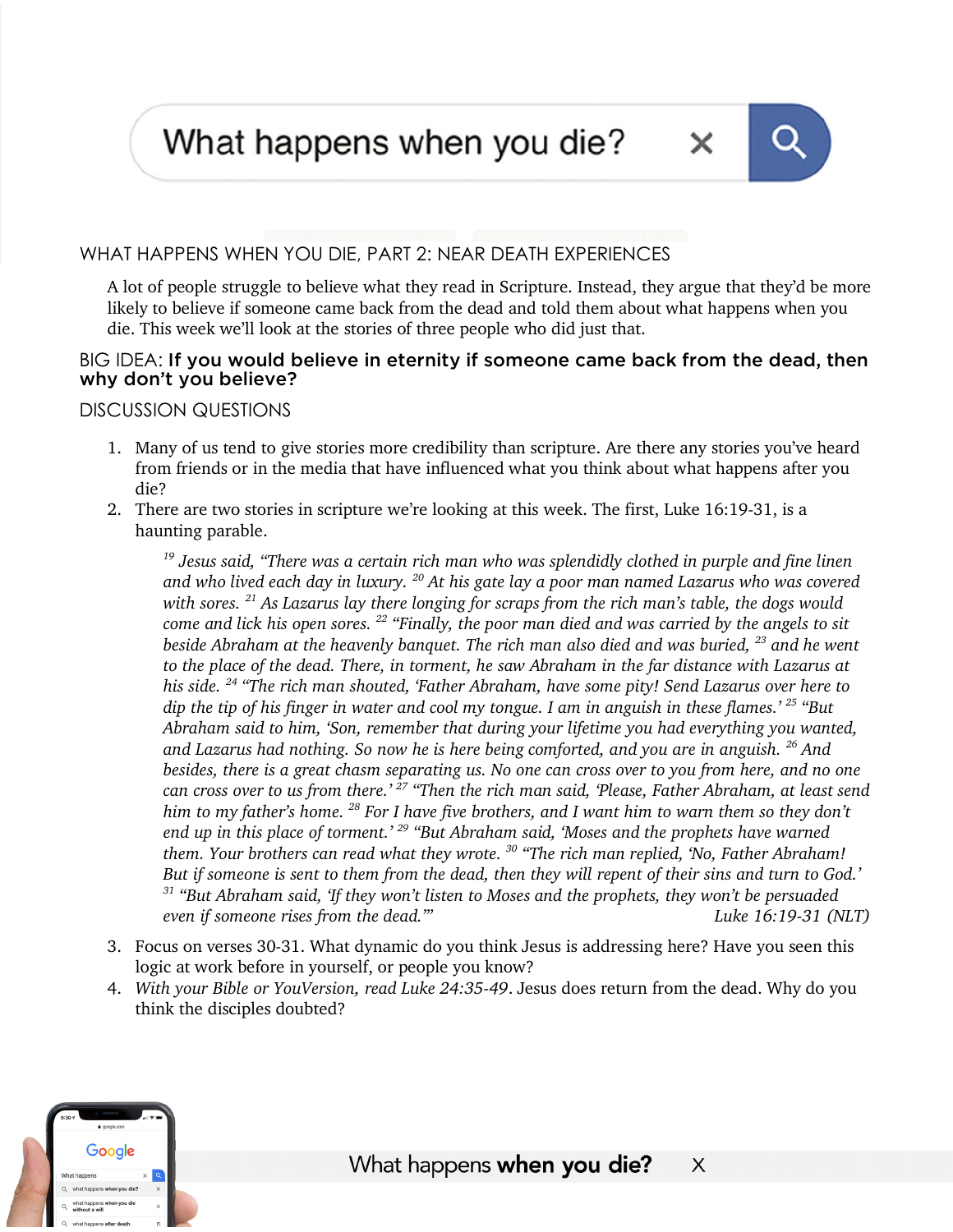What happens when you die?



A lot of people struggle to believe what they read in Scripture. Instead, they argue that they'd be more likely to believe if someone came back from the dead and told them about what happens when you die. This week we'll look at the stories of three people who did just that.

## BIG IDEA: If you would believe in eternity if someone came back from the dead, then why don't you believe?

## DISCUSSION QUESTIONS

- 1. Many of us tend to give stories more credibility than scripture. Are there any stories you've heard from friends or in the media that have influenced what you think about what happens after you die?
- 2. There are two stories in scripture we're looking at this week. The first, Luke 16:19-31, is a haunting parable.

*<sup>19</sup> Jesus said, "There was a certain rich man who was splendidly clothed in purple and fine linen and who lived each day in luxury. <sup>20</sup> At his gate lay a poor man named Lazarus who was covered with sores. <sup>21</sup> As Lazarus lay there longing for scraps from the rich man's table, the dogs would come and lick his open sores. <sup>22</sup> "Finally, the poor man died and was carried by the angels to sit beside Abraham at the heavenly banquet. The rich man also died and was buried, <sup>23</sup> and he went to the place of the dead. There, in torment, he saw Abraham in the far distance with Lazarus at his side. <sup>24</sup> "The rich man shouted, 'Father Abraham, have some pity! Send Lazarus over here to dip the tip of his finger in water and cool my tongue. I am in anguish in these flames.' <sup>25</sup> "But Abraham said to him, 'Son, remember that during your lifetime you had everything you wanted, and Lazarus had nothing. So now he is here being comforted, and you are in anguish. <sup>26</sup> And besides, there is a great chasm separating us. No one can cross over to you from here, and no one can cross over to us from there.' <sup>27</sup> "Then the rich man said, 'Please, Father Abraham, at least send him to my father's home. <sup>28</sup> For I have five brothers, and I want him to warn them so they don't end up in this place of torment.' <sup>29</sup> "But Abraham said, 'Moses and the prophets have warned them. Your brothers can read what they wrote. <sup>30</sup> "The rich man replied, 'No, Father Abraham! But if someone is sent to them from the dead, then they will repent of their sins and turn to God.' <sup>31</sup> "But Abraham said, 'If they won't listen to Moses and the prophets, they won't be persuaded even if someone rises from the dead.'" Luke 16:19-31 (NLT)*

- 3. Focus on verses 30-31. What dynamic do you think Jesus is addressing here? Have you seen this logic at work before in yourself, or people you know?
- 4. *With your Bible or YouVersion, read Luke 24:35-49*. Jesus does return from the dead. Why do you think the disciples doubted?



 $\mathsf{X}$ 

x